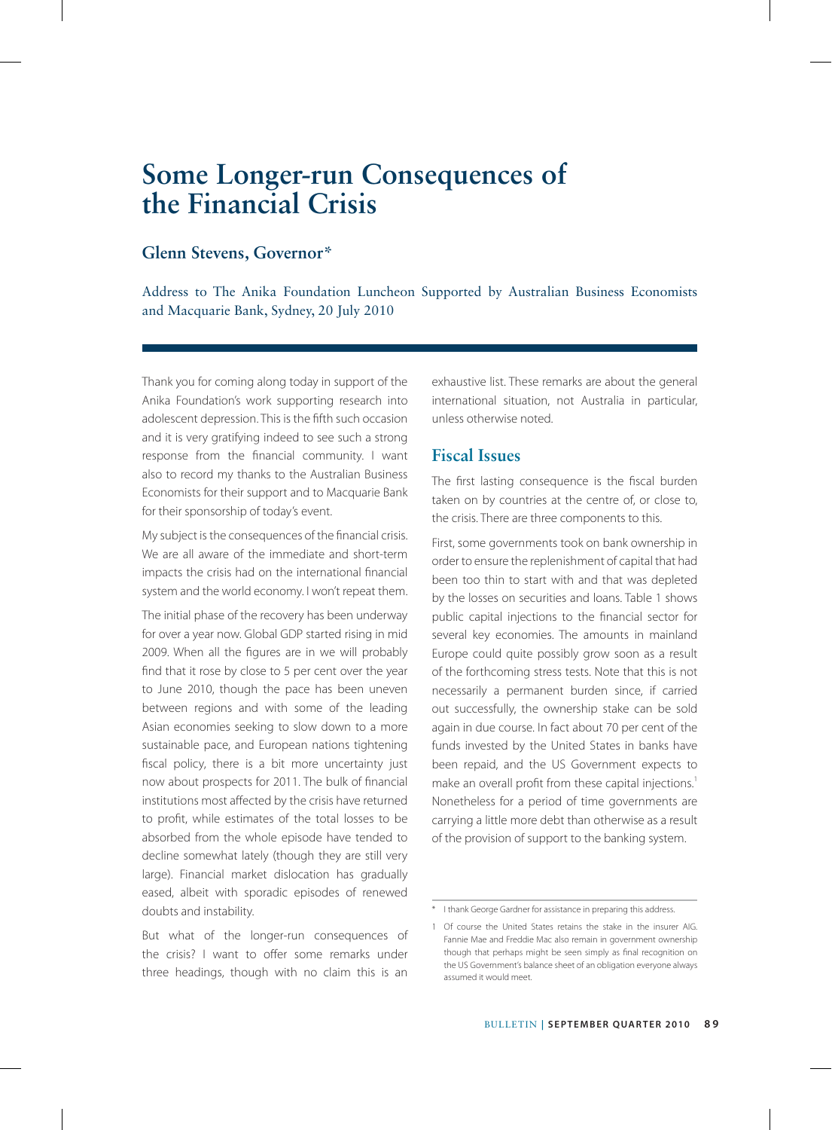# **Glenn Stevens, Governor\***

Address to The Anika Foundation Luncheon Supported by Australian Business Economists and Macquarie Bank, Sydney, 20 July 2010

Thank you for coming along today in support of the Anika Foundation's work supporting research into adolescent depression. This is the fifth such occasion and it is very gratifying indeed to see such a strong response from the financial community. I want also to record my thanks to the Australian Business Economists for their support and to Macquarie Bank for their sponsorship of today's event.

My subject is the consequences of the financial crisis. We are all aware of the immediate and short-term impacts the crisis had on the international financial system and the world economy. I won't repeat them.

The initial phase of the recovery has been underway for over a year now. Global GDP started rising in mid 2009. When all the figures are in we will probably find that it rose by close to 5 per cent over the year to June 2010, though the pace has been uneven between regions and with some of the leading Asian economies seeking to slow down to a more sustainable pace, and European nations tightening fiscal policy, there is a bit more uncertainty just now about prospects for 2011. The bulk of financial institutions most affected by the crisis have returned to profit, while estimates of the total losses to be absorbed from the whole episode have tended to decline somewhat lately (though they are still very large). Financial market dislocation has gradually eased, albeit with sporadic episodes of renewed doubts and instability.

But what of the longer-run consequences of the crisis? I want to offer some remarks under three headings, though with no claim this is an exhaustive list. These remarks are about the general international situation, not Australia in particular, unless otherwise noted.

# **Fiscal Issues**

The first lasting consequence is the fiscal burden taken on by countries at the centre of, or close to, the crisis. There are three components to this.

First, some governments took on bank ownership in order to ensure the replenishment of capital that had been too thin to start with and that was depleted by the losses on securities and loans. Table 1 shows public capital injections to the financial sector for several key economies. The amounts in mainland Europe could quite possibly grow soon as a result of the forthcoming stress tests. Note that this is not necessarily a permanent burden since, if carried out successfully, the ownership stake can be sold again in due course. In fact about 70 per cent of the funds invested by the United States in banks have been repaid, and the US Government expects to make an overall profit from these capital injections.<sup>1</sup> Nonetheless for a period of time governments are carrying a little more debt than otherwise as a result of the provision of support to the banking system.

<sup>\*</sup> I thank George Gardner for assistance in preparing this address.

<sup>1</sup> Of course the United States retains the stake in the insurer AIG. Fannie Mae and Freddie Mac also remain in government ownership though that perhaps might be seen simply as final recognition on the US Government's balance sheet of an obligation everyone always assumed it would meet.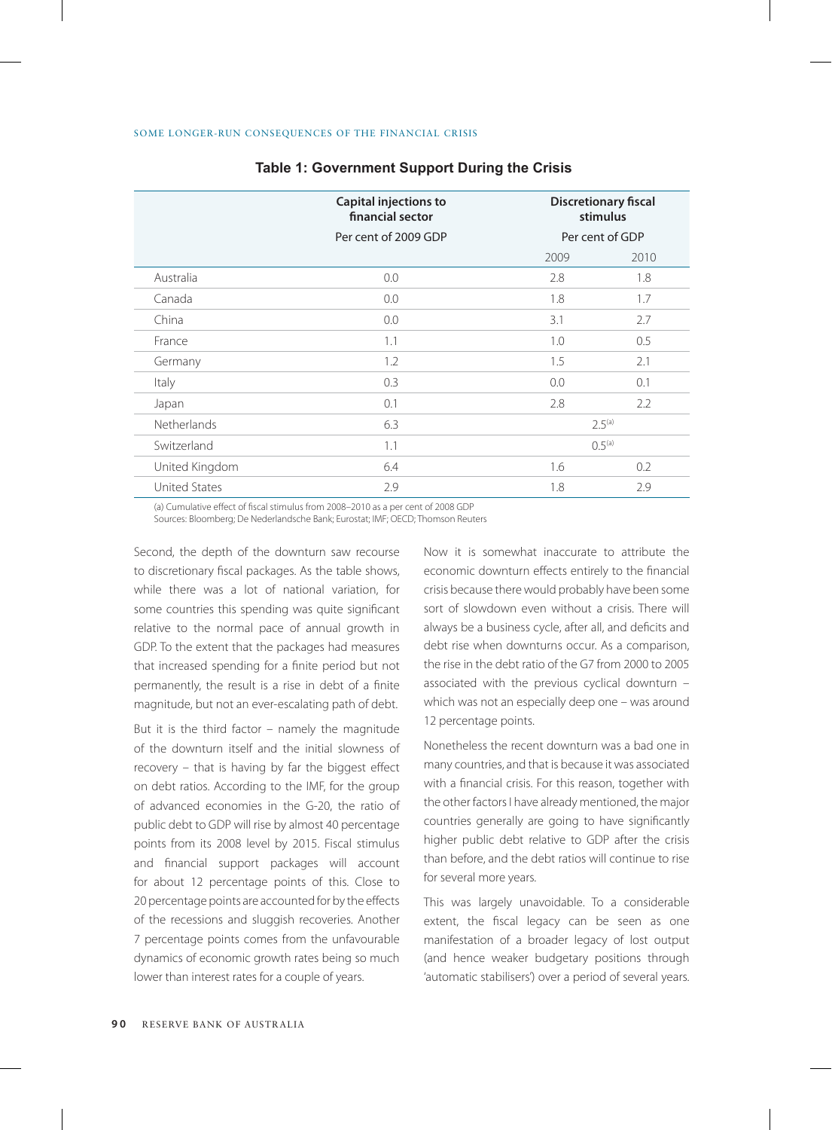|                      | Capital injections to<br>financial sector | <b>Discretionary fiscal</b><br>stimulus<br>Per cent of GDP |      |
|----------------------|-------------------------------------------|------------------------------------------------------------|------|
|                      | Per cent of 2009 GDP                      |                                                            |      |
|                      |                                           | 2009                                                       | 2010 |
| Australia            | 0.0                                       | 2.8                                                        | 1.8  |
| Canada               | 0.0                                       | 1.8                                                        | 1.7  |
| China                | 0.0                                       | 3.1                                                        | 2.7  |
| France               | 1.1                                       | 1.0                                                        | 0.5  |
| Germany              | 1.2                                       | 1.5                                                        | 2.1  |
| Italy                | 0.3                                       | 0.0                                                        | 0.1  |
| Japan                | 0.1                                       | 2.8                                                        | 2.2  |
| <b>Netherlands</b>   | 6.3                                       | 2.5 <sup>(a)</sup>                                         |      |
| Switzerland          | 1.1                                       | 0.5 <sup>(a)</sup>                                         |      |
| United Kingdom       | 6.4                                       | 1.6                                                        | 0.2  |
| <b>United States</b> | 2.9                                       | 1.8                                                        | 2.9  |

## **Table 1: Government Support During the Crisis**

(a) Cumulative effect of fiscal stimulus from 2008–2010 as a per cent of 2008 GDP

Sources: Bloomberg; De Nederlandsche Bank; Eurostat; IMF; OECD; Thomson Reuters

Second, the depth of the downturn saw recourse to discretionary fiscal packages. As the table shows, while there was a lot of national variation, for some countries this spending was quite significant relative to the normal pace of annual growth in GDP. To the extent that the packages had measures that increased spending for a finite period but not permanently, the result is a rise in debt of a finite magnitude, but not an ever-escalating path of debt.

But it is the third factor – namely the magnitude of the downturn itself and the initial slowness of recovery – that is having by far the biggest effect on debt ratios. According to the IMF, for the group of advanced economies in the G-20, the ratio of public debt to GDP will rise by almost 40 percentage points from its 2008 level by 2015. Fiscal stimulus and financial support packages will account for about 12 percentage points of this. Close to 20 percentage points are accounted for by the effects of the recessions and sluggish recoveries. Another 7 percentage points comes from the unfavourable dynamics of economic growth rates being so much lower than interest rates for a couple of years.

Now it is somewhat inaccurate to attribute the economic downturn effects entirely to the financial crisis because there would probably have been some sort of slowdown even without a crisis. There will always be a business cycle, after all, and deficits and debt rise when downturns occur. As a comparison, the rise in the debt ratio of the G7 from 2000 to 2005 associated with the previous cyclical downturn – which was not an especially deep one – was around 12 percentage points.

Nonetheless the recent downturn was a bad one in many countries, and that is because it was associated with a financial crisis. For this reason, together with the other factors I have already mentioned, the major countries generally are going to have significantly higher public debt relative to GDP after the crisis than before, and the debt ratios will continue to rise for several more years.

This was largely unavoidable. To a considerable extent, the fiscal legacy can be seen as one manifestation of a broader legacy of lost output (and hence weaker budgetary positions through 'automatic stabilisers') over a period of several years.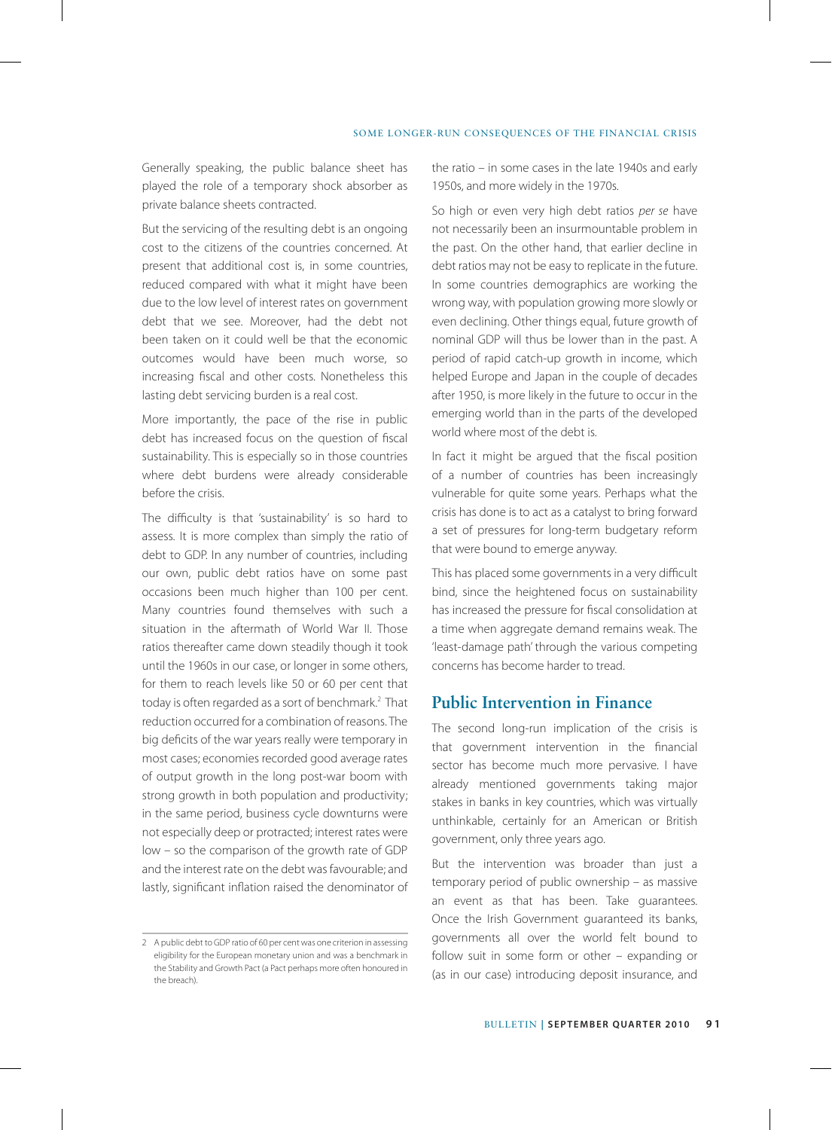Generally speaking, the public balance sheet has played the role of a temporary shock absorber as private balance sheets contracted.

But the servicing of the resulting debt is an ongoing cost to the citizens of the countries concerned. At present that additional cost is, in some countries, reduced compared with what it might have been due to the low level of interest rates on government debt that we see. Moreover, had the debt not been taken on it could well be that the economic outcomes would have been much worse, so increasing fiscal and other costs. Nonetheless this lasting debt servicing burden is a real cost.

More importantly, the pace of the rise in public debt has increased focus on the question of fiscal sustainability. This is especially so in those countries where debt burdens were already considerable before the crisis.

The difficulty is that 'sustainability' is so hard to assess. It is more complex than simply the ratio of debt to GDP. In any number of countries, including our own, public debt ratios have on some past occasions been much higher than 100 per cent. Many countries found themselves with such a situation in the aftermath of World War II. Those ratios thereafter came down steadily though it took until the 1960s in our case, or longer in some others, for them to reach levels like 50 or 60 per cent that today is often regarded as a sort of benchmark.<sup>2</sup> That reduction occurred for a combination of reasons. The big deficits of the war years really were temporary in most cases; economies recorded good average rates of output growth in the long post-war boom with strong growth in both population and productivity; in the same period, business cycle downturns were not especially deep or protracted; interest rates were low – so the comparison of the growth rate of GDP and the interest rate on the debt was favourable; and lastly, significant inflation raised the denominator of

the ratio – in some cases in the late 1940s and early 1950s, and more widely in the 1970s.

So high or even very high debt ratios *per se* have not necessarily been an insurmountable problem in the past. On the other hand, that earlier decline in debt ratios may not be easy to replicate in the future. In some countries demographics are working the wrong way, with population growing more slowly or even declining. Other things equal, future growth of nominal GDP will thus be lower than in the past. A period of rapid catch-up growth in income, which helped Europe and Japan in the couple of decades after 1950, is more likely in the future to occur in the emerging world than in the parts of the developed world where most of the debt is.

In fact it might be argued that the fiscal position of a number of countries has been increasingly vulnerable for quite some years. Perhaps what the crisis has done is to act as a catalyst to bring forward a set of pressures for long-term budgetary reform that were bound to emerge anyway.

This has placed some governments in a very difficult bind, since the heightened focus on sustainability has increased the pressure for fiscal consolidation at a time when aggregate demand remains weak. The 'least-damage path' through the various competing concerns has become harder to tread.

## **Public Intervention in Finance**

The second long-run implication of the crisis is that government intervention in the financial sector has become much more pervasive. I have already mentioned governments taking major stakes in banks in key countries, which was virtually unthinkable, certainly for an American or British government, only three years ago.

But the intervention was broader than just a temporary period of public ownership – as massive an event as that has been. Take guarantees. Once the Irish Government guaranteed its banks, governments all over the world felt bound to follow suit in some form or other – expanding or (as in our case) introducing deposit insurance, and

<sup>2</sup> A public debt to GDP ratio of 60 per cent was one criterion in assessing eligibility for the European monetary union and was a benchmark in the Stability and Growth Pact (a Pact perhaps more often honoured in the breach).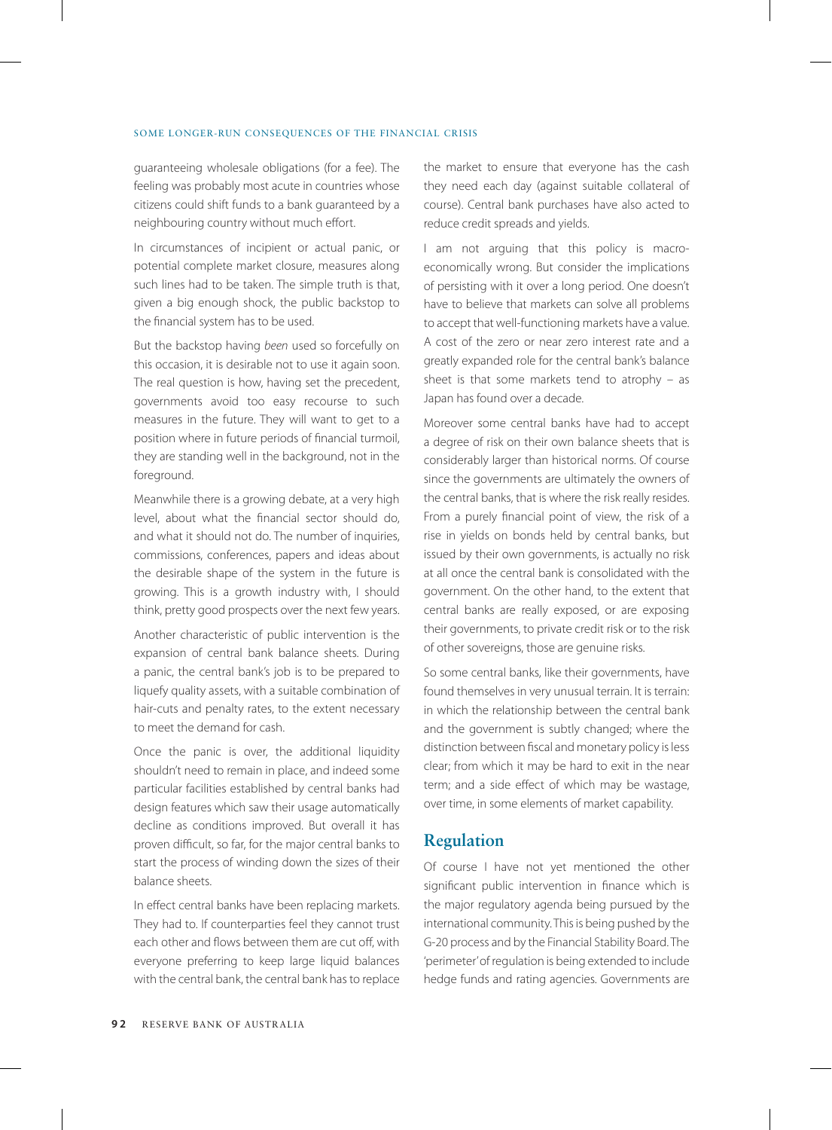guaranteeing wholesale obligations (for a fee). The feeling was probably most acute in countries whose citizens could shift funds to a bank guaranteed by a neighbouring country without much effort.

In circumstances of incipient or actual panic, or potential complete market closure, measures along such lines had to be taken. The simple truth is that, given a big enough shock, the public backstop to the financial system has to be used.

But the backstop having *been* used so forcefully on this occasion, it is desirable not to use it again soon. The real question is how, having set the precedent, governments avoid too easy recourse to such measures in the future. They will want to get to a position where in future periods of financial turmoil, they are standing well in the background, not in the foreground.

Meanwhile there is a growing debate, at a very high level, about what the financial sector should do, and what it should not do. The number of inquiries, commissions, conferences, papers and ideas about the desirable shape of the system in the future is growing. This is a growth industry with, I should think, pretty good prospects over the next few years.

Another characteristic of public intervention is the expansion of central bank balance sheets. During a panic, the central bank's job is to be prepared to liquefy quality assets, with a suitable combination of hair-cuts and penalty rates, to the extent necessary to meet the demand for cash.

Once the panic is over, the additional liquidity shouldn't need to remain in place, and indeed some particular facilities established by central banks had design features which saw their usage automatically decline as conditions improved. But overall it has proven difficult, so far, for the major central banks to start the process of winding down the sizes of their balance sheets.

In effect central banks have been replacing markets. They had to. If counterparties feel they cannot trust each other and flows between them are cut off, with everyone preferring to keep large liquid balances with the central bank, the central bank has to replace

the market to ensure that everyone has the cash they need each day (against suitable collateral of course). Central bank purchases have also acted to reduce credit spreads and yields.

I am not arguing that this policy is macroeconomically wrong. But consider the implications of persisting with it over a long period. One doesn't have to believe that markets can solve all problems to accept that well-functioning markets have a value. A cost of the zero or near zero interest rate and a greatly expanded role for the central bank's balance sheet is that some markets tend to atrophy  $-$  as Japan has found over a decade.

Moreover some central banks have had to accept a degree of risk on their own balance sheets that is considerably larger than historical norms. Of course since the governments are ultimately the owners of the central banks, that is where the risk really resides. From a purely financial point of view, the risk of a rise in yields on bonds held by central banks, but issued by their own governments, is actually no risk at all once the central bank is consolidated with the government. On the other hand, to the extent that central banks are really exposed, or are exposing their governments, to private credit risk or to the risk of other sovereigns, those are genuine risks.

So some central banks, like their governments, have found themselves in very unusual terrain. It is terrain: in which the relationship between the central bank and the government is subtly changed; where the distinction between fiscal and monetary policy is less clear; from which it may be hard to exit in the near term; and a side effect of which may be wastage, over time, in some elements of market capability.

## **Regulation**

Of course I have not yet mentioned the other significant public intervention in finance which is the major regulatory agenda being pursued by the international community. This is being pushed by the G-20 process and by the Financial Stability Board. The 'perimeter' of regulation is being extended to include hedge funds and rating agencies. Governments are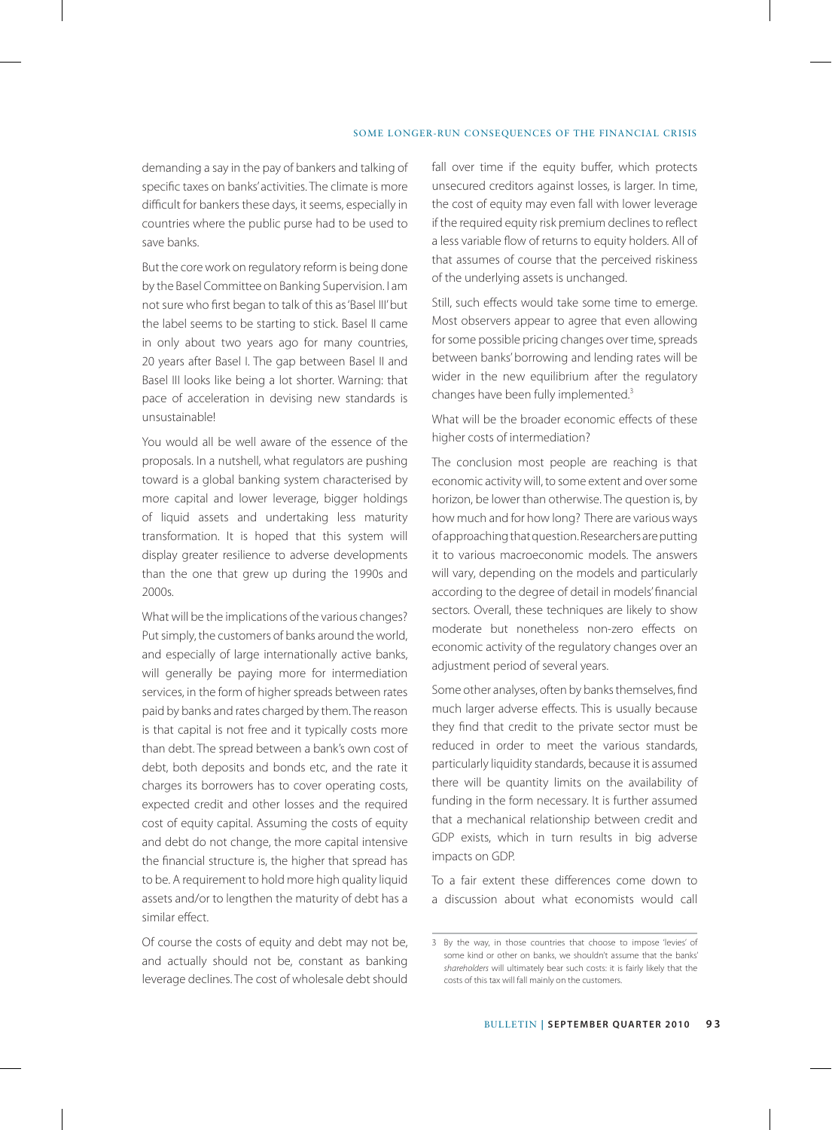demanding a say in the pay of bankers and talking of specific taxes on banks' activities. The climate is more difficult for bankers these days, it seems, especially in countries where the public purse had to be used to save banks.

But the core work on regulatory reform is being done by the Basel Committee on Banking Supervision. I am not sure who first began to talk of this as 'Basel III' but the label seems to be starting to stick. Basel II came in only about two years ago for many countries, 20 years after Basel I. The gap between Basel II and Basel III looks like being a lot shorter. Warning: that pace of acceleration in devising new standards is unsustainable!

You would all be well aware of the essence of the proposals. In a nutshell, what regulators are pushing toward is a global banking system characterised by more capital and lower leverage, bigger holdings of liquid assets and undertaking less maturity transformation. It is hoped that this system will display greater resilience to adverse developments than the one that grew up during the 1990s and 2000s.

What will be the implications of the various changes? Put simply, the customers of banks around the world, and especially of large internationally active banks, will generally be paying more for intermediation services, in the form of higher spreads between rates paid by banks and rates charged by them. The reason is that capital is not free and it typically costs more than debt. The spread between a bank's own cost of debt, both deposits and bonds etc, and the rate it charges its borrowers has to cover operating costs, expected credit and other losses and the required cost of equity capital. Assuming the costs of equity and debt do not change, the more capital intensive the financial structure is, the higher that spread has to be. A requirement to hold more high quality liquid assets and/or to lengthen the maturity of debt has a similar effect.

Of course the costs of equity and debt may not be, and actually should not be, constant as banking leverage declines. The cost of wholesale debt should fall over time if the equity buffer, which protects unsecured creditors against losses, is larger. In time, the cost of equity may even fall with lower leverage if the required equity risk premium declines to reflect a less variable flow of returns to equity holders. All of that assumes of course that the perceived riskiness of the underlying assets is unchanged.

Still, such effects would take some time to emerge. Most observers appear to agree that even allowing for some possible pricing changes over time, spreads between banks' borrowing and lending rates will be wider in the new equilibrium after the regulatory changes have been fully implemented.<sup>3</sup>

What will be the broader economic effects of these higher costs of intermediation?

The conclusion most people are reaching is that economic activity will, to some extent and over some horizon, be lower than otherwise. The question is, by how much and for how long? There are various ways of approaching that question. Researchers are putting it to various macroeconomic models. The answers will vary, depending on the models and particularly according to the degree of detail in models' financial sectors. Overall, these techniques are likely to show moderate but nonetheless non-zero effects on economic activity of the regulatory changes over an adjustment period of several years.

Some other analyses, often by banks themselves, find much larger adverse effects. This is usually because they find that credit to the private sector must be reduced in order to meet the various standards, particularly liquidity standards, because it is assumed there will be quantity limits on the availability of funding in the form necessary. It is further assumed that a mechanical relationship between credit and GDP exists, which in turn results in big adverse impacts on GDP.

To a fair extent these differences come down to a discussion about what economists would call

<sup>3</sup> By the way, in those countries that choose to impose 'levies' of some kind or other on banks, we shouldn't assume that the banks' *shareholders* will ultimately bear such costs: it is fairly likely that the costs of this tax will fall mainly on the customers.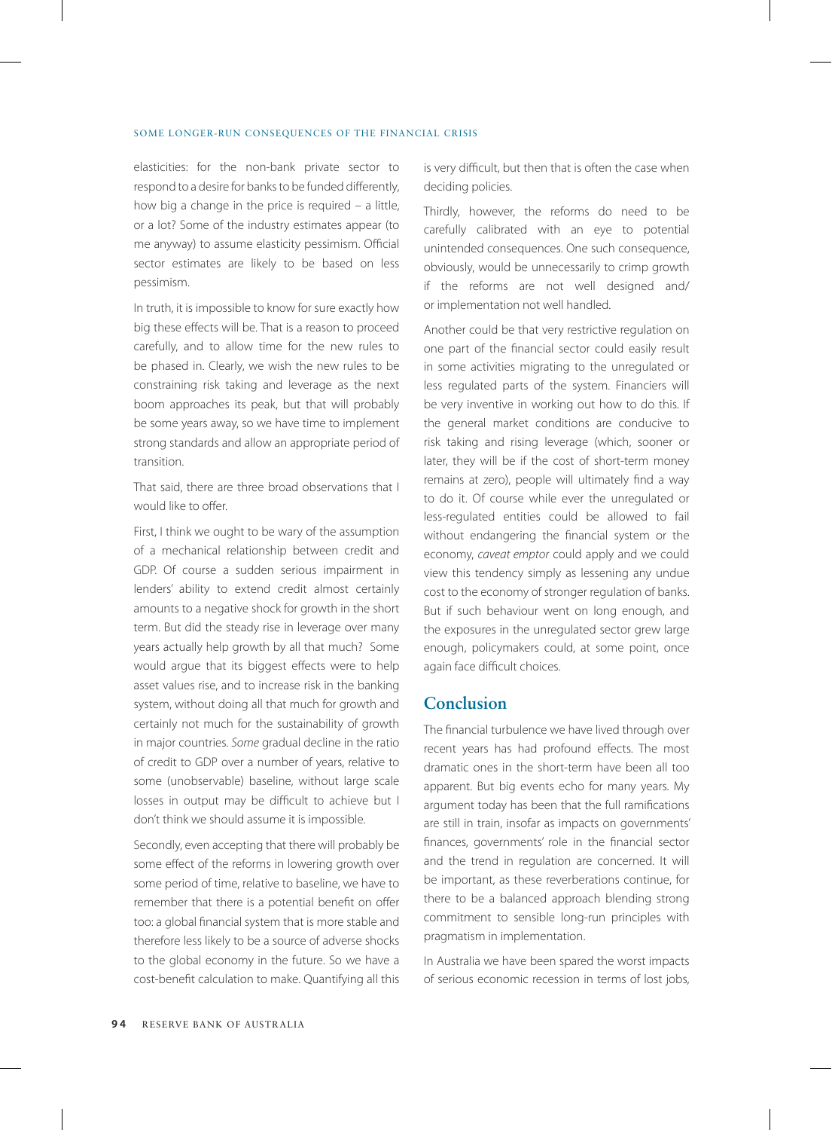elasticities: for the non-bank private sector to respond to a desire for banks to be funded differently, how big a change in the price is required – a little, or a lot? Some of the industry estimates appear (to me anyway) to assume elasticity pessimism. Official sector estimates are likely to be based on less pessimism.

In truth, it is impossible to know for sure exactly how big these effects will be. That is a reason to proceed carefully, and to allow time for the new rules to be phased in. Clearly, we wish the new rules to be constraining risk taking and leverage as the next boom approaches its peak, but that will probably be some years away, so we have time to implement strong standards and allow an appropriate period of transition.

That said, there are three broad observations that I would like to offer.

First, I think we ought to be wary of the assumption of a mechanical relationship between credit and GDP. Of course a sudden serious impairment in lenders' ability to extend credit almost certainly amounts to a negative shock for growth in the short term. But did the steady rise in leverage over many years actually help growth by all that much? Some would argue that its biggest effects were to help asset values rise, and to increase risk in the banking system, without doing all that much for growth and certainly not much for the sustainability of growth in major countries. *Some* gradual decline in the ratio of credit to GDP over a number of years, relative to some (unobservable) baseline, without large scale losses in output may be difficult to achieve but I don't think we should assume it is impossible.

Secondly, even accepting that there will probably be some effect of the reforms in lowering growth over some period of time, relative to baseline, we have to remember that there is a potential benefit on offer too: a global financial system that is more stable and therefore less likely to be a source of adverse shocks to the global economy in the future. So we have a cost-benefit calculation to make. Quantifying all this is very difficult, but then that is often the case when deciding policies.

Thirdly, however, the reforms do need to be carefully calibrated with an eye to potential unintended consequences. One such consequence, obviously, would be unnecessarily to crimp growth if the reforms are not well designed and/ or implementation not well handled.

Another could be that very restrictive regulation on one part of the financial sector could easily result in some activities migrating to the unregulated or less regulated parts of the system. Financiers will be very inventive in working out how to do this. If the general market conditions are conducive to risk taking and rising leverage (which, sooner or later, they will be if the cost of short-term money remains at zero), people will ultimately find a way to do it. Of course while ever the unregulated or less-regulated entities could be allowed to fail without endangering the financial system or the economy, *caveat emptor* could apply and we could view this tendency simply as lessening any undue cost to the economy of stronger regulation of banks. But if such behaviour went on long enough, and the exposures in the unregulated sector grew large enough, policymakers could, at some point, once again face difficult choices.

## **Conclusion**

The financial turbulence we have lived through over recent years has had profound effects. The most dramatic ones in the short-term have been all too apparent. But big events echo for many years. My argument today has been that the full ramifications are still in train, insofar as impacts on governments' finances, governments' role in the financial sector and the trend in regulation are concerned. It will be important, as these reverberations continue, for there to be a balanced approach blending strong commitment to sensible long-run principles with pragmatism in implementation.

In Australia we have been spared the worst impacts of serious economic recession in terms of lost jobs,